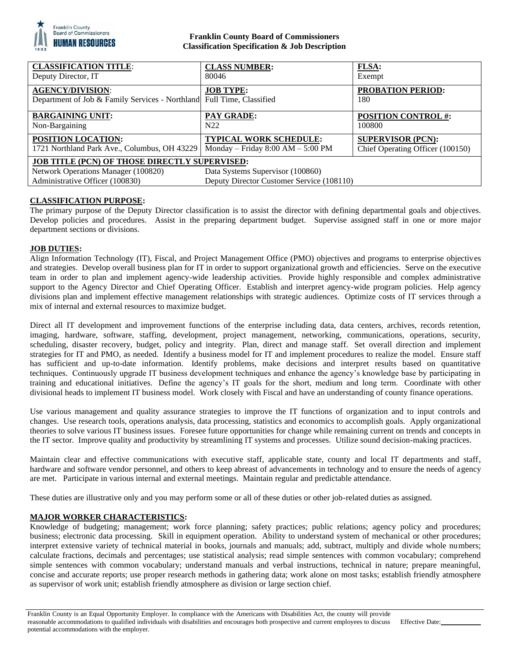

## **Franklin County Board of Commissioners Classification Specification & Job Description**

| <b>CLASSIFICATION TITLE:</b><br>Deputy Director, IT                   | <b>CLASS NUMBER:</b><br>80046             | <b>FLSA:</b><br>Exempt           |
|-----------------------------------------------------------------------|-------------------------------------------|----------------------------------|
| <b>AGENCY/DIVISION:</b>                                               | <b>JOB TYPE:</b>                          | <b>PROBATION PERIOD:</b>         |
| Department of Job & Family Services - Northland Full Time, Classified |                                           | 180                              |
| <b>BARGAINING UNIT:</b>                                               | <b>PAY GRADE:</b>                         | <b>POSITION CONTROL #:</b>       |
| Non-Bargaining                                                        | N <sub>22</sub>                           | 100800                           |
| <b>POSITION LOCATION:</b>                                             | TYPICAL WORK SCHEDULE:                    | <b>SUPERVISOR (PCN):</b>         |
| 1721 Northland Park Ave., Columbus, OH 43229                          | Monday – Friday $8:00 AM - 5:00 PM$       | Chief Operating Officer (100150) |
| <b>JOB TITLE (PCN) OF THOSE DIRECTLY SUPERVISED:</b>                  |                                           |                                  |
| Network Operations Manager (100820)                                   | Data Systems Supervisor (100860)          |                                  |
| Administrative Officer (100830)                                       | Deputy Director Customer Service (108110) |                                  |

# **CLASSIFICATION PURPOSE:**

The primary purpose of the Deputy Director classification is to assist the director with defining departmental goals and objectives. Develop policies and procedures. Assist in the preparing department budget. Supervise assigned staff in one or more major department sections or divisions.

# **JOB DUTIES:**

Align Information Technology (IT), Fiscal, and Project Management Office (PMO) objectives and programs to enterprise objectives and strategies. Develop overall business plan for IT in order to support organizational growth and efficiencies. Serve on the executive team in order to plan and implement agency-wide leadership activities. Provide highly responsible and complex administrative support to the Agency Director and Chief Operating Officer. Establish and interpret agency-wide program policies. Help agency divisions plan and implement effective management relationships with strategic audiences. Optimize costs of IT services through a mix of internal and external resources to maximize budget.

Direct all IT development and improvement functions of the enterprise including data, data centers, archives, records retention, imaging, hardware, software, staffing, development, project management, networking, communications, operations, security, scheduling, disaster recovery, budget, policy and integrity. Plan, direct and manage staff. Set overall direction and implement strategies for IT and PMO, as needed. Identify a business model for IT and implement procedures to realize the model. Ensure staff has sufficient and up-to-date information. Identify problems, make decisions and interpret results based on quantitative techniques. Continuously upgrade IT business development techniques and enhance the agency's knowledge base by participating in training and educational initiatives. Define the agency's IT goals for the short, medium and long term. Coordinate with other divisional heads to implement IT business model. Work closely with Fiscal and have an understanding of county finance operations.

Use various management and quality assurance strategies to improve the IT functions of organization and to input controls and changes. Use research tools, operations analysis, data processing, statistics and economics to accomplish goals. Apply organizational theories to solve various IT business issues. Foresee future opportunities for change while remaining current on trends and concepts in the IT sector. Improve quality and productivity by streamlining IT systems and processes. Utilize sound decision-making practices.

Maintain clear and effective communications with executive staff, applicable state, county and local IT departments and staff, hardware and software vendor personnel, and others to keep abreast of advancements in technology and to ensure the needs of agency are met. Participate in various internal and external meetings. Maintain regular and predictable attendance.

These duties are illustrative only and you may perform some or all of these duties or other job-related duties as assigned.

## **MAJOR WORKER CHARACTERISTICS:**

Knowledge of budgeting; management; work force planning; safety practices; public relations; agency policy and procedures; business; electronic data processing. Skill in equipment operation. Ability to understand system of mechanical or other procedures; interpret extensive variety of technical material in books, journals and manuals; add, subtract, multiply and divide whole numbers; calculate fractions, decimals and percentages; use statistical analysis; read simple sentences with common vocabulary; comprehend simple sentences with common vocabulary; understand manuals and verbal instructions, technical in nature; prepare meaningful, concise and accurate reports; use proper research methods in gathering data; work alone on most tasks; establish friendly atmosphere as supervisor of work unit; establish friendly atmosphere as division or large section chief.

Effective Date: